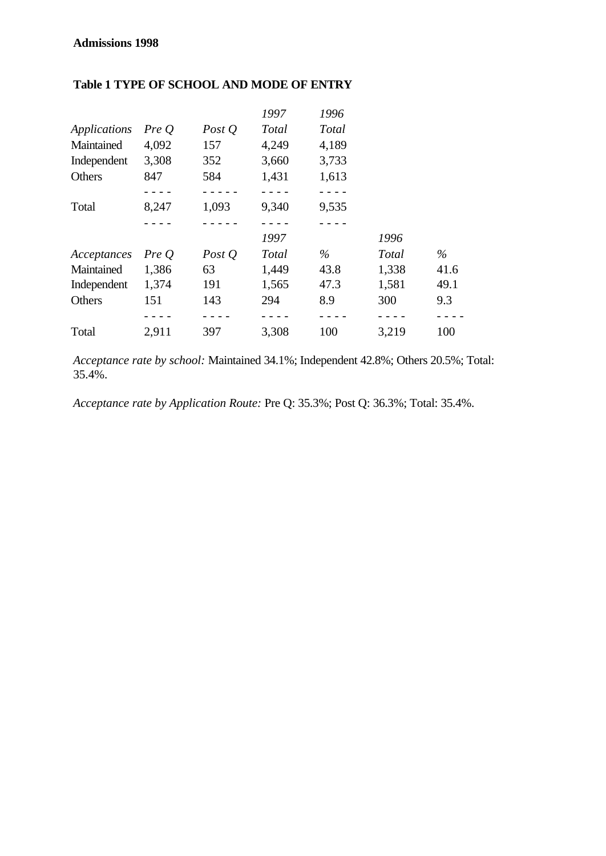# **Admissions 1998**

|                     |       |          | 1997         | 1996         |              |      |
|---------------------|-------|----------|--------------|--------------|--------------|------|
| <b>Applications</b> | Pre O | Post $Q$ | <b>Total</b> | <b>Total</b> |              |      |
| Maintained          | 4,092 | 157      | 4,249        | 4,189        |              |      |
| Independent         | 3,308 | 352      | 3,660        | 3,733        |              |      |
| Others              | 847   | 584      | 1,431        | 1,613        |              |      |
|                     |       |          |              |              |              |      |
| Total               | 8,247 | 1,093    | 9,340        | 9,535        |              |      |
|                     |       |          |              |              |              |      |
|                     |       |          | 1997         |              | 1996         |      |
| Acceptances         | PreQ  | Post $Q$ | <b>Total</b> | $\%$         | <b>Total</b> | $\%$ |
| Maintained          | 1,386 | 63       | 1,449        | 43.8         | 1,338        | 41.6 |
| Independent         | 1,374 | 191      | 1,565        | 47.3         | 1,581        | 49.1 |
| Others              | 151   | 143      | 294          | 8.9          | 300          | 9.3  |
|                     |       |          |              |              |              |      |
| Total               | 2,911 | 397      | 3,308        | 100          | 3,219        | 100  |

## **Table 1 TYPE OF SCHOOL AND MODE OF ENTRY**

*Acceptance rate by school:* Maintained 34.1%; Independent 42.8%; Others 20.5%; Total: 35.4%.

*Acceptance rate by Application Route:* Pre Q: 35.3%; Post Q: 36.3%; Total: 35.4%.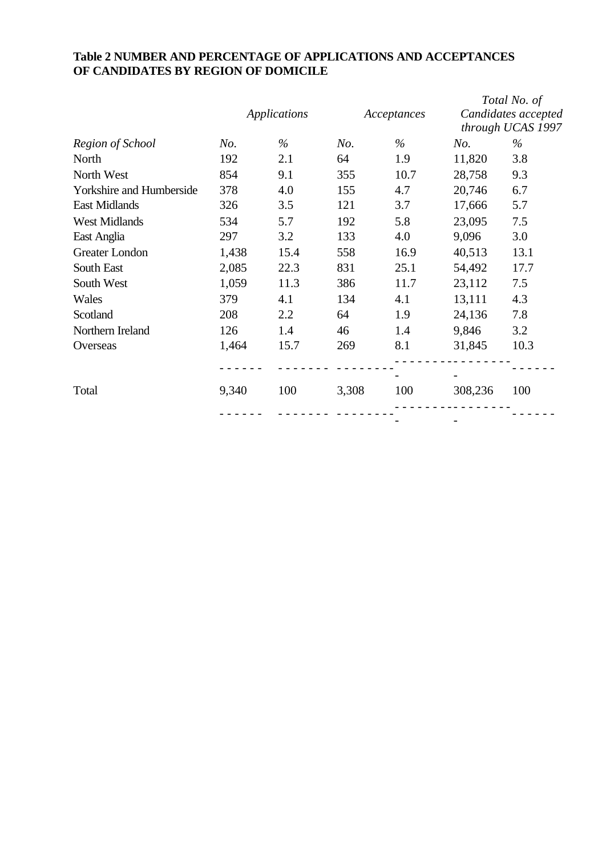# **Table 2 NUMBER AND PERCENTAGE OF APPLICATIONS AND ACCEPTANCES OF CANDIDATES BY REGION OF DOMICILE**

|                                 |       | <b>Applications</b> |       | Acceptances |         | Total No. of<br>Candidates accepted |
|---------------------------------|-------|---------------------|-------|-------------|---------|-------------------------------------|
| Region of School                | No.   | $\%$                | No.   | $\%$        | No.     | through UCAS 1997<br>$\%$           |
| North                           | 192   | 2.1                 | 64    | 1.9         | 11,820  | 3.8                                 |
| North West                      | 854   | 9.1                 | 355   | 10.7        | 28,758  | 9.3                                 |
| <b>Yorkshire and Humberside</b> | 378   | 4.0                 | 155   | 4.7         | 20,746  | 6.7                                 |
| <b>East Midlands</b>            | 326   | 3.5                 | 121   | 3.7         | 17,666  | 5.7                                 |
| <b>West Midlands</b>            | 534   | 5.7                 | 192   | 5.8         | 23,095  | 7.5                                 |
| East Anglia                     | 297   | 3.2                 | 133   | 4.0         | 9,096   | 3.0                                 |
| Greater London                  | 1,438 | 15.4                | 558   | 16.9        | 40,513  | 13.1                                |
| South East                      | 2,085 | 22.3                | 831   | 25.1        | 54,492  | 17.7                                |
| South West                      | 1,059 | 11.3                | 386   | 11.7        | 23,112  | 7.5                                 |
| Wales                           | 379   | 4.1                 | 134   | 4.1         | 13,111  | 4.3                                 |
| Scotland                        | 208   | 2.2                 | 64    | 1.9         | 24,136  | 7.8                                 |
| Northern Ireland                | 126   | 1.4                 | 46    | 1.4         | 9,846   | 3.2                                 |
| Overseas                        | 1,464 | 15.7                | 269   | 8.1         | 31,845  | 10.3                                |
|                                 |       |                     |       |             |         |                                     |
| Total                           | 9,340 | 100                 | 3,308 | 100         | 308,236 | 100                                 |
|                                 |       |                     |       |             |         |                                     |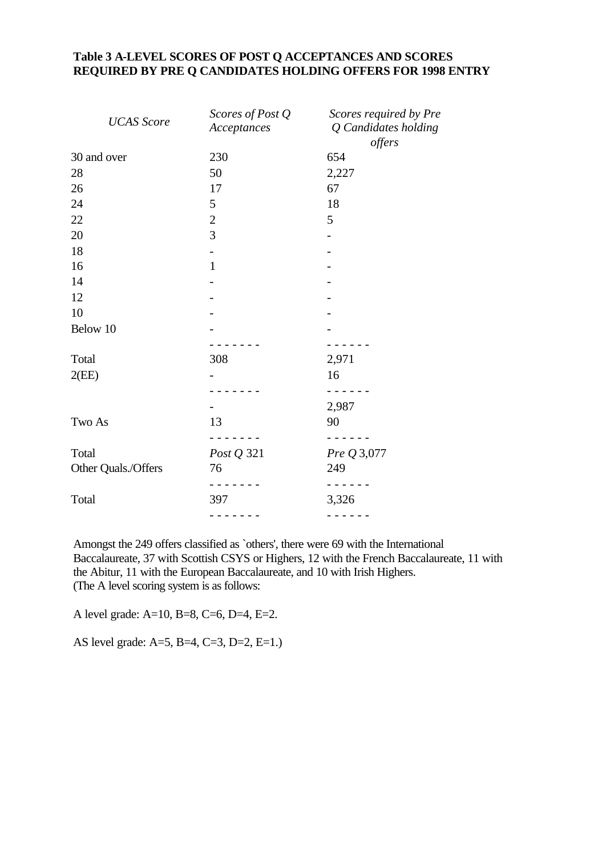## **Table 3 A-LEVEL SCORES OF POST Q ACCEPTANCES AND SCORES REQUIRED BY PRE Q CANDIDATES HOLDING OFFERS FOR 1998 ENTRY**

| <b>UCAS</b> Score   | Scores of Post Q<br>Acceptances | Scores required by Pre<br>Q Candidates holding<br>offers |
|---------------------|---------------------------------|----------------------------------------------------------|
| 30 and over         | 230                             | 654                                                      |
| 28                  | 50                              | 2,227                                                    |
| 26                  | 17                              | 67                                                       |
| 24                  | 5                               | 18                                                       |
| 22                  | $\mathbf{2}$                    | 5                                                        |
| 20                  | 3                               |                                                          |
| 18                  |                                 |                                                          |
| 16                  | $\mathbf{1}$                    |                                                          |
| 14                  |                                 |                                                          |
| 12                  |                                 |                                                          |
| 10                  |                                 |                                                          |
| Below 10            |                                 |                                                          |
|                     |                                 |                                                          |
| Total               | 308                             | 2,971                                                    |
| 2(EE)               |                                 | 16                                                       |
|                     |                                 |                                                          |
|                     |                                 | 2,987                                                    |
| Two As              | 13                              | 90                                                       |
| Total               | Post Q 321                      | Pre Q 3,077                                              |
| Other Quals./Offers | 76                              | 249                                                      |
| Total               | 397                             | 3,326                                                    |
|                     |                                 |                                                          |

Amongst the 249 offers classified as `others', there were 69 with the International Baccalaureate, 37 with Scottish CSYS or Highers, 12 with the French Baccalaureate, 11 with the Abitur, 11 with the European Baccalaureate, and 10 with Irish Highers. (The A level scoring system is as follows:

A level grade: A=10, B=8, C=6, D=4, E=2.

AS level grade: A=5, B=4, C=3, D=2, E=1.)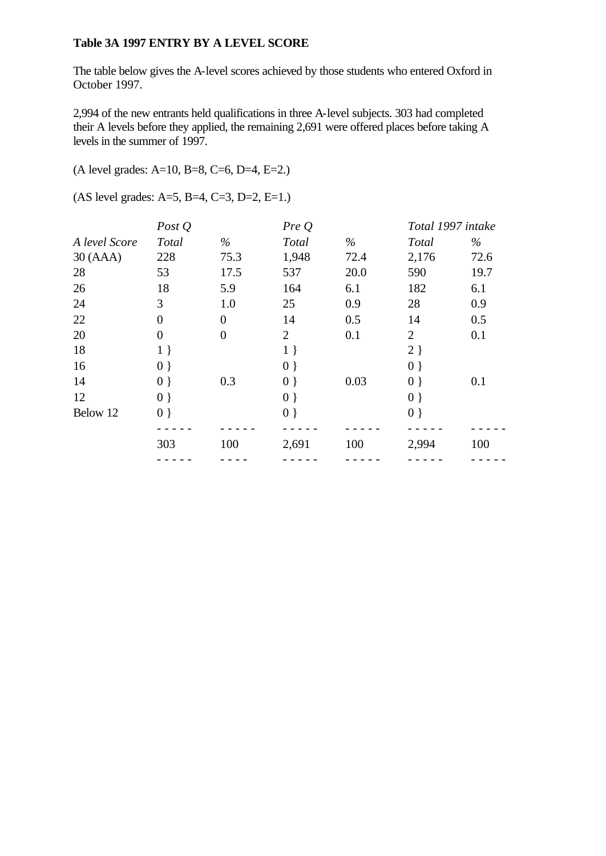#### **Table 3A 1997 ENTRY BY A LEVEL SCORE**

The table below gives the A-level scores achieved by those students who entered Oxford in October 1997.

2,994 of the new entrants held qualifications in three A-level subjects. 303 had completed their A levels before they applied, the remaining 2,691 were offered places before taking A levels in the summer of 1997.

(A level grades: A=10, B=8, C=6, D=4, E=2.)

(AS level grades: A=5, B=4, C=3, D=2, E=1.)

|               | Post $Q$       |                | PreQ           |      | Total 1997 intake |      |
|---------------|----------------|----------------|----------------|------|-------------------|------|
| A level Score | <b>Total</b>   | $\%$           | <b>Total</b>   | $\%$ | <b>Total</b>      | $\%$ |
| 30(AAA)       | 228            | 75.3           | 1,948          | 72.4 | 2,176             | 72.6 |
| 28            | 53             | 17.5           | 537            | 20.0 | 590               | 19.7 |
| 26            | 18             | 5.9            | 164            | 6.1  | 182               | 6.1  |
| 24            | 3              | 1.0            | 25             | 0.9  | 28                | 0.9  |
| 22            | $\overline{0}$ | $\overline{0}$ | 14             | 0.5  | 14                | 0.5  |
| 20            | $\overline{0}$ | $\overline{0}$ | $\overline{2}$ | 0.1  | $\overline{2}$    | 0.1  |
| 18            | $1 \}$         |                | $1 \}$         |      | $2 \}$            |      |
| 16            | $0$ }          |                | $0$ }          |      | 0 <sup>1</sup>    |      |
| 14            | $0$ }          | 0.3            | $0$ }          | 0.03 | $0 \}$            | 0.1  |
| 12            | $0$ }          |                | $0$ }          |      | $0$ }             |      |
| Below 12      | $0 \}$         |                | $0 \}$         |      | $0 \}$            |      |
|               |                |                |                |      |                   |      |
|               | 303            | 100            | 2,691          | 100  | 2,994             | 100  |
|               |                |                |                |      |                   |      |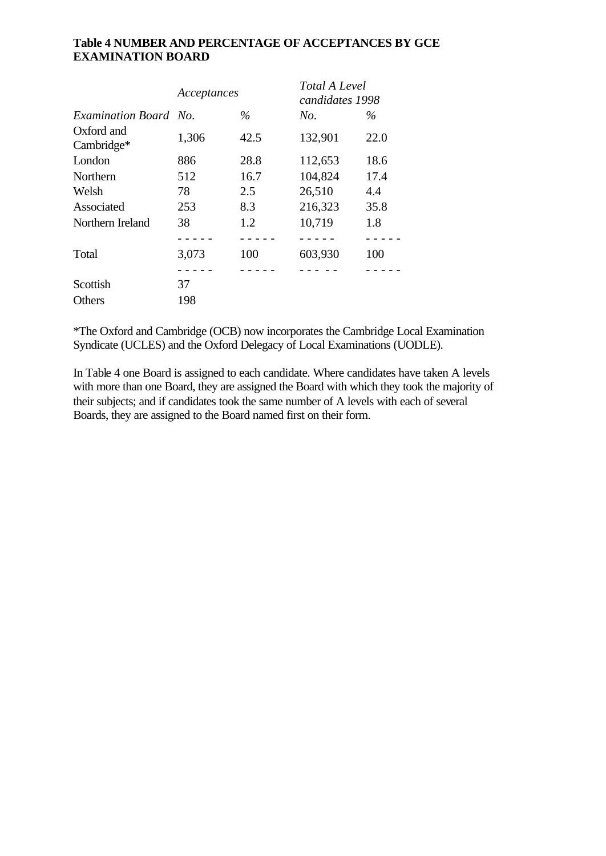### **Table 4 NUMBER AND PERCENTAGE OF ACCEPTANCES BY GCE EXAMINATION BOARD**

|                          | Acceptances |      | Total A Level<br>candidates 1998 |      |
|--------------------------|-------------|------|----------------------------------|------|
| Examination Board No.    |             | $\%$ | No.                              | $\%$ |
| Oxford and<br>Cambridge* | 1,306       | 42.5 | 132,901                          | 22.0 |
| London                   | 886         | 28.8 | 112,653                          | 18.6 |
| Northern                 | 512         | 16.7 | 104,824                          | 17.4 |
| Welsh                    | 78          | 2.5  | 26,510                           | 4.4  |
| Associated               | 253         | 8.3  | 216,323                          | 35.8 |
| Northern Ireland         | 38          | 1.2  | 10,719                           | 1.8  |
|                          |             |      |                                  |      |
| Total                    | 3,073       | 100  | 603,930                          | 100  |
|                          |             |      |                                  |      |
| Scottish                 | 37          |      |                                  |      |
| Others                   | 198         |      |                                  |      |

\*The Oxford and Cambridge (OCB) now incorporates the Cambridge Local Examination Syndicate (UCLES) and the Oxford Delegacy of Local Examinations (UODLE).

In Table 4 one Board is assigned to each candidate. Where candidates have taken A levels with more than one Board, they are assigned the Board with which they took the majority of their subjects; and if candidates took the same number of A levels with each of several Boards, they are assigned to the Board named first on their form.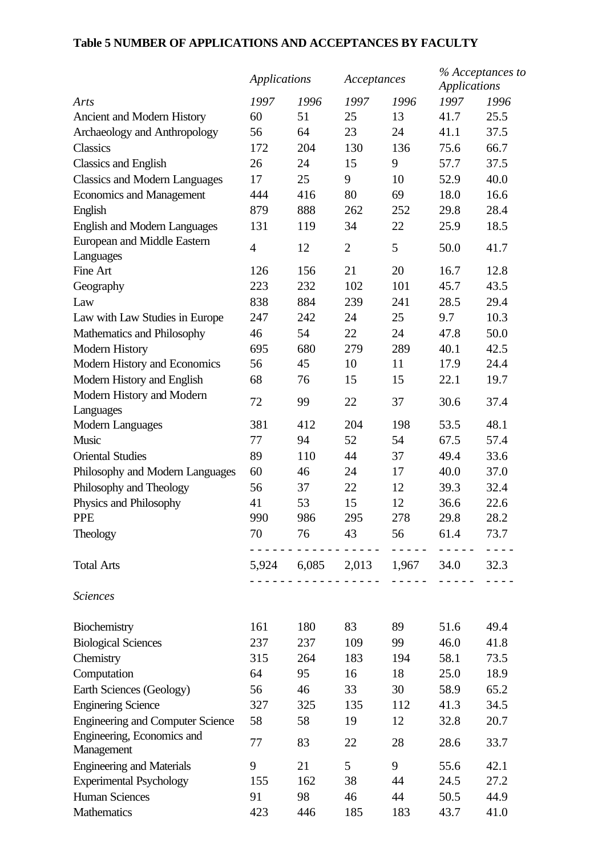# **Table 5 NUMBER OF APPLICATIONS AND ACCEPTANCES BY FACULTY**

|                                         | <b>Applications</b> |                                                               | Acceptances    |                                                                                                                                                                                 | % Acceptances to<br><b>Applications</b> |      |
|-----------------------------------------|---------------------|---------------------------------------------------------------|----------------|---------------------------------------------------------------------------------------------------------------------------------------------------------------------------------|-----------------------------------------|------|
| Arts                                    | 1997                | 1996                                                          | 1997           | 1996                                                                                                                                                                            | 1997                                    | 1996 |
| Ancient and Modern History              | 60                  | 51                                                            | 25             | 13                                                                                                                                                                              | 41.7                                    | 25.5 |
| Archaeology and Anthropology            | 56                  | 64                                                            | 23             | 24                                                                                                                                                                              | 41.1                                    | 37.5 |
| Classics                                | 172                 | 204                                                           | 130            | 136                                                                                                                                                                             | 75.6                                    | 66.7 |
| <b>Classics and English</b>             | 26                  | 24                                                            | 15             | 9                                                                                                                                                                               | 57.7                                    | 37.5 |
| <b>Classics and Modern Languages</b>    | 17                  | 25                                                            | 9              | 10                                                                                                                                                                              | 52.9                                    | 40.0 |
| <b>Economics and Management</b>         | 444                 | 416                                                           | 80             | 69                                                                                                                                                                              | 18.0                                    | 16.6 |
| English                                 | 879                 | 888                                                           | 262            | 252                                                                                                                                                                             | 29.8                                    | 28.4 |
| <b>English and Modern Languages</b>     | 131                 | 119                                                           | 34             | 22                                                                                                                                                                              | 25.9                                    | 18.5 |
| <b>European and Middle Eastern</b>      | $\overline{4}$      | 12                                                            | $\overline{2}$ | 5                                                                                                                                                                               | 50.0                                    | 41.7 |
| Languages                               |                     |                                                               |                |                                                                                                                                                                                 |                                         |      |
| Fine Art                                | 126                 | 156                                                           | 21             | 20                                                                                                                                                                              | 16.7                                    | 12.8 |
| Geography                               | 223                 | 232                                                           | 102            | 101                                                                                                                                                                             | 45.7                                    | 43.5 |
| Law                                     | 838                 | 884                                                           | 239            | 241                                                                                                                                                                             | 28.5                                    | 29.4 |
| Law with Law Studies in Europe          | 247                 | 242                                                           | 24             | 25                                                                                                                                                                              | 9.7                                     | 10.3 |
| Mathematics and Philosophy              | 46                  | 54                                                            | 22             | 24                                                                                                                                                                              | 47.8                                    | 50.0 |
| <b>Modern History</b>                   | 695                 | 680                                                           | 279            | 289                                                                                                                                                                             | 40.1                                    | 42.5 |
| Modern History and Economics            | 56                  | 45                                                            | 10             | 11                                                                                                                                                                              | 17.9                                    | 24.4 |
| Modern History and English              | 68                  | 76                                                            | 15             | 15                                                                                                                                                                              | 22.1                                    | 19.7 |
| Modern History and Modern               | 72                  | 99                                                            | 22             | 37                                                                                                                                                                              | 30.6                                    | 37.4 |
| Languages                               |                     |                                                               |                |                                                                                                                                                                                 |                                         |      |
| <b>Modern Languages</b>                 | 381                 | 412                                                           | 204            | 198                                                                                                                                                                             | 53.5                                    | 48.1 |
| Music                                   | 77                  | 94                                                            | 52             | 54                                                                                                                                                                              | 67.5                                    | 57.4 |
| <b>Oriental Studies</b>                 | 89                  | 110                                                           | 44             | 37                                                                                                                                                                              | 49.4                                    | 33.6 |
| Philosophy and Modern Languages         | 60                  | 46                                                            | 24             | 17                                                                                                                                                                              | 40.0                                    | 37.0 |
| Philosophy and Theology                 | 56                  | 37                                                            | 22             | 12                                                                                                                                                                              | 39.3                                    | 32.4 |
| Physics and Philosophy                  | 41                  | 53                                                            | 15             | 12                                                                                                                                                                              | 36.6                                    | 22.6 |
| <b>PPE</b>                              | 990                 | 986                                                           | 295            | 278                                                                                                                                                                             | 29.8                                    | 28.2 |
| Theology                                | 70                  | 76                                                            | 43             | 56                                                                                                                                                                              | 61.4                                    | 73.7 |
|                                         |                     |                                                               | $\frac{1}{2}$  | $\frac{1}{2} \left( \frac{1}{2} \right) \left( \frac{1}{2} \right) \left( \frac{1}{2} \right) \left( \frac{1}{2} \right) \left( \frac{1}{2} \right) \left( \frac{1}{2} \right)$ | $- - - - - -$                           |      |
| <b>Total Arts</b>                       |                     | 5,924 6,085 2,013 1,967 34.0<br><u> - - - - - - - - - - -</u> | $ -$           | $\frac{1}{2} \left( \frac{1}{2} \right) \left( \frac{1}{2} \right) \left( \frac{1}{2} \right) \left( \frac{1}{2} \right) \left( \frac{1}{2} \right)$                            |                                         | 32.3 |
| <b>Sciences</b>                         |                     |                                                               |                |                                                                                                                                                                                 |                                         |      |
| Biochemistry                            | 161                 | 180                                                           | 83             | 89                                                                                                                                                                              | 51.6                                    | 49.4 |
| <b>Biological Sciences</b>              | 237                 | 237                                                           | 109            | 99                                                                                                                                                                              | 46.0                                    | 41.8 |
| Chemistry                               | 315                 | 264                                                           | 183            | 194                                                                                                                                                                             | 58.1                                    | 73.5 |
| Computation                             | 64                  | 95                                                            | 16             | 18                                                                                                                                                                              | 25.0                                    | 18.9 |
| Earth Sciences (Geology)                | 56                  | 46                                                            | 33             | 30                                                                                                                                                                              | 58.9                                    | 65.2 |
| <b>Enginering Science</b>               | 327                 | 325                                                           | 135            | 112                                                                                                                                                                             | 41.3                                    | 34.5 |
| <b>Engineering and Computer Science</b> | 58                  | 58                                                            | 19             | 12                                                                                                                                                                              | 32.8                                    | 20.7 |
| Engineering, Economics and              |                     |                                                               |                |                                                                                                                                                                                 |                                         |      |
| Management                              | 77                  | 83                                                            | 22             | 28                                                                                                                                                                              | 28.6                                    | 33.7 |
| <b>Engineering and Materials</b>        | 9                   | 21                                                            | 5              | 9                                                                                                                                                                               | 55.6                                    | 42.1 |
| <b>Experimental Psychology</b>          | 155                 | 162                                                           | 38             | 44                                                                                                                                                                              | 24.5                                    | 27.2 |
| <b>Human Sciences</b>                   | 91                  | 98                                                            | 46             | 44                                                                                                                                                                              | 50.5                                    | 44.9 |
| Mathematics                             | 423                 | 446                                                           | 185            | 183                                                                                                                                                                             | 43.7                                    | 41.0 |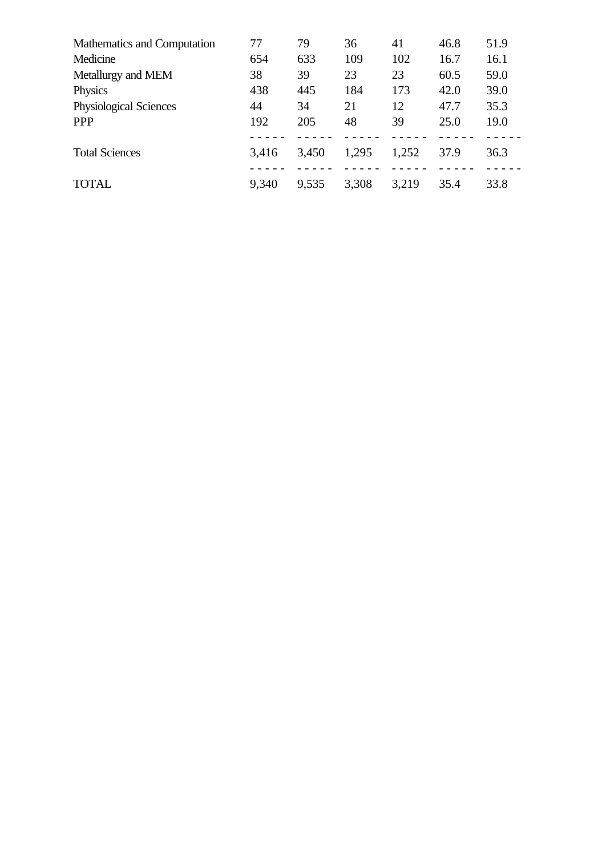| Mathematics and Computation   | 77    | 79    | 36    | 41    | 46.8 | 51.9 |
|-------------------------------|-------|-------|-------|-------|------|------|
| Medicine                      | 654   | 633   | 109   | 102   | 16.7 | 16.1 |
| Metallurgy and MEM            | 38    | 39    | 23    | 23    | 60.5 | 59.0 |
| Physics                       | 438   | 445   | 184   | 173   | 42.0 | 39.0 |
| <b>Physiological Sciences</b> | 44    | 34    | 21    | 12    | 47.7 | 35.3 |
| <b>PPP</b>                    | 192   | 205   | 48    | 39    | 25.0 | 19.0 |
|                               |       |       |       |       |      |      |
| <b>Total Sciences</b>         | 3,416 | 3,450 | 1,295 | 1,252 | 37.9 | 36.3 |
|                               |       |       |       |       |      |      |
| <b>TOTAL</b>                  | 9,340 | 9,535 | 3,308 | 3,219 | 35.4 | 33.8 |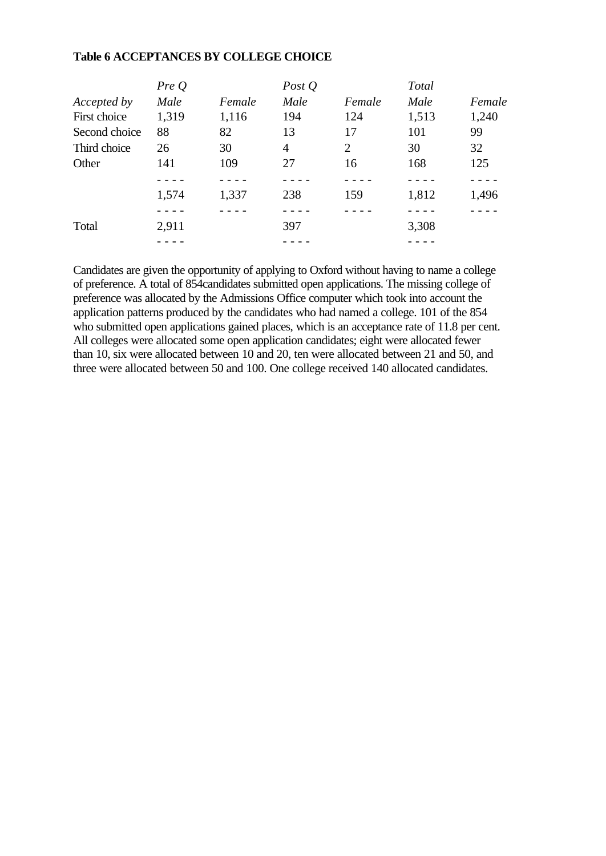#### **Table 6 ACCEPTANCES BY COLLEGE CHOICE**

|               | PreQ  |        | Post $Q$ |        | <b>Total</b> |        |
|---------------|-------|--------|----------|--------|--------------|--------|
| Accepted by   | Male  | Female | Male     | Female | Male         | Female |
| First choice  | 1,319 | 1,116  | 194      | 124    | 1,513        | 1,240  |
| Second choice | 88    | 82     | 13       | 17     | 101          | 99     |
| Third choice  | 26    | 30     | 4        | 2      | 30           | 32     |
| Other         | 141   | 109    | 27       | 16     | 168          | 125    |
|               |       |        |          |        |              |        |
|               | 1,574 | 1,337  | 238      | 159    | 1,812        | 1,496  |
|               |       |        |          |        |              |        |
| Total         | 2,911 |        | 397      |        | 3,308        |        |
|               |       |        |          |        |              |        |

Candidates are given the opportunity of applying to Oxford without having to name a college of preference. A total of 854candidates submitted open applications. The missing college of preference was allocated by the Admissions Office computer which took into account the application patterns produced by the candidates who had named a college. 101 of the 854 who submitted open applications gained places, which is an acceptance rate of 11.8 per cent. All colleges were allocated some open application candidates; eight were allocated fewer than 10, six were allocated between 10 and 20, ten were allocated between 21 and 50, and three were allocated between 50 and 100. One college received 140 allocated candidates.